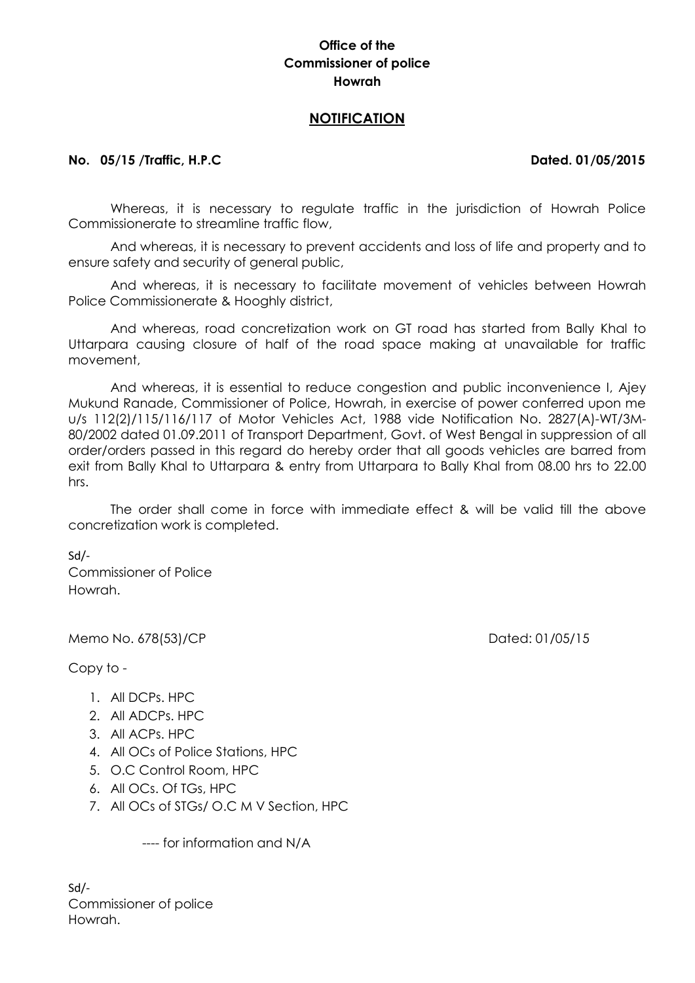# **Office of the Commissioner of police Howrah**

## **NOTIFICATION**

### **No. 05/15 /Traffic, H.P.C Dated. 01/05/2015**

Whereas, it is necessary to regulate traffic in the jurisdiction of Howrah Police Commissionerate to streamline traffic flow,

And whereas, it is necessary to prevent accidents and loss of life and property and to ensure safety and security of general public,

And whereas, it is necessary to facilitate movement of vehicles between Howrah Police Commissionerate & Hooghly district,

And whereas, road concretization work on GT road has started from Bally Khal to Uttarpara causing closure of half of the road space making at unavailable for traffic movement,

And whereas, it is essential to reduce congestion and public inconvenience I, Ajey Mukund Ranade, Commissioner of Police, Howrah, in exercise of power conferred upon me u/s 112(2)/115/116/117 of Motor Vehicles Act, 1988 vide Notification No. 2827(A)-WT/3M-80/2002 dated 01.09.2011 of Transport Department, Govt. of West Bengal in suppression of all order/orders passed in this regard do hereby order that all goods vehicles are barred from exit from Bally Khal to Uttarpara & entry from Uttarpara to Bally Khal from 08.00 hrs to 22.00 hrs.

The order shall come in force with immediate effect & will be valid till the above concretization work is completed.

Sd/- Commissioner of Police Howrah.

Memo No. 678(53)/CP Dated: 01/05/15

Copy to -

- 1. All DCPs. HPC
- 2. All ADCPs. HPC
- 3. All ACPs. HPC
- 4. All OCs of Police Stations, HPC
- 5. O.C Control Room, HPC
- 6. All OCs. Of TGs, HPC
- 7. All OCs of STGs/ O.C M V Section, HPC

---- for information and N/A

Sd/- Commissioner of police Howrah.